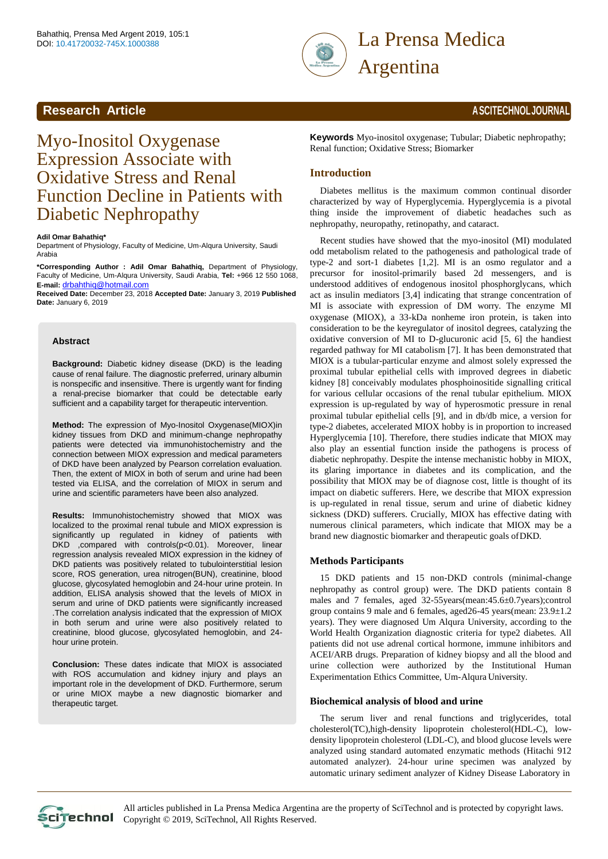

# **Research Article <b>And Article And Article 2006 ASCITECHNOLIOURNAL**

# Myo-Inositol Oxygenase Expression Associate with Oxidative Stress and Renal Function Decline in Patients with Diabetic Nephropathy

#### **Adil Omar Bahathiq\***

Department of Physiology, Faculty of Medicine, Um-Alqura University, Saudi Arabia

**\*Corresponding Author : Adil Omar Bahathiq,** Department of Physiology, Faculty of Medicine, Um-Alqura University, Saudi Arabia, **Tel:** +966 12 550 1068, **E-mail:** [drbahthiq@hotmail.com](mailto:drbahthiq@hotmail.com)

**Received Date:** December 23, 2018 **Accepted Date:** January 3, 2019 **Published Date:** January 6, 2019

#### **Abstract**

**Background:** Diabetic kidney disease (DKD) is the leading cause of renal failure. The diagnostic preferred, urinary albumin is nonspecific and insensitive. There is urgently want for finding a renal-precise biomarker that could be detectable early sufficient and a capability target for therapeutic intervention.

**Method:** The expression of Myo-Inositol Oxygenase(MIOX)in kidney tissues from DKD and minimum-change nephropathy patients were detected via immunohistochemistry and the connection between MIOX expression and medical parameters of DKD have been analyzed by Pearson correlation evaluation. Then, the extent of MIOX in both of serum and urine had been tested via ELISA, and the correlation of MIOX in serum and urine and scientific parameters have been also analyzed.

**Results:** Immunohistochemistry showed that MIOX was localized to the proximal renal tubule and MIOX expression is significantly up regulated in kidney of patients with DKD ,compared with controls(p<0.01). Moreover, linear regression analysis revealed MIOX expression in the kidney of DKD patients was positively related to tubulointerstitial lesion score, ROS generation, urea nitrogen(BUN), creatinine, blood glucose, glycosylated hemoglobin and 24-hour urine protein. In addition, ELISA analysis showed that the levels of MIOX in serum and urine of DKD patients were significantly increased .The correlation analysis indicated that the expression of MIOX in both serum and urine were also positively related to creatinine, blood glucose, glycosylated hemoglobin, and 24 hour urine protein.

**Conclusion:** These dates indicate that MIOX is associated with ROS accumulation and kidney injury and plays an important role in the development of DKD. Furthermore, serum or urine MIOX maybe a new diagnostic biomarker and therapeutic target.

**Keywords** Myo-inositol oxygenase; Tubular; Diabetic nephropathy; Renal function; Oxidative Stress; Biomarker

#### **Introduction**

Diabetes mellitus is the maximum common continual disorder characterized by way of Hyperglycemia. Hyperglycemia is a pivotal thing inside the improvement of diabetic headaches such as nephropathy, neuropathy, retinopathy, and cataract.

Recent studies have showed that the myo-inositol (MI) modulated odd metabolism related to the pathogenesis and pathological trade of type-2 and sort-1 diabetes [1,2]. MI is an osmo regulator and a precursor for inositol-primarily based 2d messengers, and is understood additives of endogenous inositol phosphorglycans, which act as insulin mediators [3,4] indicating that strange concentration of MI is associate with expression of DM worry. The enzyme MI oxygenase (MIOX), a 33-kDa nonheme iron protein, is taken into consideration to be the keyregulator of inositol degrees, catalyzing the oxidative conversion of MI to D-glucuronic acid [5, 6] the handiest regarded pathway for MI catabolism [7]. It has been demonstrated that MIOX is a tubular-particular enzyme and almost solely expressed the proximal tubular epithelial cells with improved degrees in diabetic kidney [8] conceivably modulates phosphoinositide signalling critical for various cellular occasions of the renal tubular epithelium. MIOX expression is up-regulated by way of hyperosmotic pressure in renal proximal tubular epithelial cells [9], and in db/db mice, a version for type-2 diabetes, accelerated MIOX hobby is in proportion to increased Hyperglycemia [10]. Therefore, there studies indicate that MIOX may also play an essential function inside the pathogens is process of diabetic nephropathy. Despite the intense mechanistic hobby in MIOX, its glaring importance in diabetes and its complication, and the possibility that MIOX may be of diagnose cost, little is thought of its impact on diabetic sufferers. Here, we describe that MIOX expression is up-regulated in renal tissue, serum and urine of diabetic kidney sickness (DKD) sufferers. Crucially, MIOX has effective dating with numerous clinical parameters, which indicate that MIOX may be a brand new diagnostic biomarker and therapeutic goals ofDKD.

#### **Methods Participants**

15 DKD patients and 15 non-DKD controls (minimal-change nephropathy as control group) were. The DKD patients contain 8 males and 7 females, aged 32-55years(mean:45.6±0.7years);control group contains 9 male and 6 females, aged26-45 years(mean: 23.9±1.2 years). They were diagnosed Um Alqura University, according to the World Health Organization diagnostic criteria for type2 diabetes. All patients did not use adrenal cortical hormone, immune inhibitors and ACEI/ARB drugs. Preparation of kidney biopsy and all the blood and urine collection were authorized by the Institutional Human Experimentation Ethics Committee, Um-Alqura University.

#### **Biochemical analysis of blood and urine**

The serum liver and renal functions and triglycerides, total cholesterol(TC),high-density lipoprotein cholesterol(HDL-C), lowdensity lipoprotein cholesterol (LDL-C), and blood glucose levels were analyzed using standard automated enzymatic methods (Hitachi 912 automated analyzer). 24-hour urine specimen was analyzed by automatic urinary sediment analyzer of Kidney Disease Laboratory in

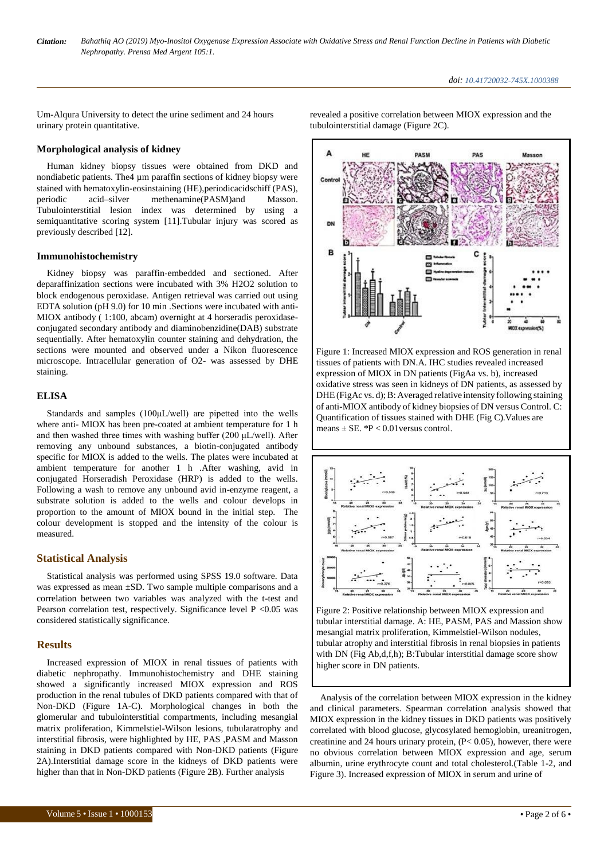Um-Alqura University to detect the urine sediment and 24 hours urinary protein quantitative.

#### **Morphological analysis of kidney**

Human kidney biopsy tissues were obtained from DKD and nondiabetic patients. The4 µm paraffin sections of kidney biopsy were stained with hematoxylin-eosinstaining (HE),periodicacidschiff (PAS), periodic acid–silver methenamine(PASM)and Masson. Tubulointerstitial lesion index was determined by using a semiquantitative scoring system [11].Tubular injury was scored as previously described [12].

#### **Immunohistochemistry**

Kidney biopsy was paraffin-embedded and sectioned. After deparaffinization sections were incubated with 3% H2O2 solution to block endogenous peroxidase. Antigen retrieval was carried out using EDTA solution (pH 9.0) for 10 min .Sections were incubated with anti-MIOX antibody ( 1:100, abcam) overnight at 4 horseradis peroxidaseconjugated secondary antibody and diaminobenzidine(DAB) substrate sequentially. After hematoxylin counter staining and dehydration, the sections were mounted and observed under a Nikon fluorescence microscope. Intracellular generation of O2- was assessed by DHE staining.

#### **ELISA**

Standards and samples (100μL/well) are pipetted into the wells where anti- MIOX has been pre-coated at ambient temperature for 1 h and then washed three times with washing buffer (200  $\mu$ L/well). After removing any unbound substances, a biotin-conjugated antibody specific for MIOX is added to the wells. The plates were incubated at ambient temperature for another 1 h .After washing, avid in conjugated Horseradish Peroxidase (HRP) is added to the wells. Following a wash to remove any unbound avid in-enzyme reagent, a substrate solution is added to the wells and colour develops in proportion to the amount of MIOX bound in the initial step. The colour development is stopped and the intensity of the colour is measured.

# **Statistical Analysis**

Statistical analysis was performed using SPSS 19.0 software. Data was expressed as mean ±SD. Two sample multiple comparisons and a correlation between two variables was analyzed with the t-test and Pearson correlation test, respectively. Significance level  $P < 0.05$  was considered statistically significance.

### **Results**

Increased expression of MIOX in renal tissues of patients with diabetic nephropathy. Immunohistochemistry and DHE staining showed a significantly increased MIOX expression and ROS production in the renal tubules of DKD patients compared with that of Non-DKD (Figure 1A-C). Morphological changes in both the glomerular and tubulointerstitial compartments, including mesangial matrix proliferation, Kimmelstiel-Wilson lesions, tubularatrophy and interstitial fibrosis, were highlighted by HE, PAS ,PASM and Masson staining in DKD patients compared with Non-DKD patients (Figure 2A).Interstitial damage score in the kidneys of DKD patients were higher than that in Non-DKD patients (Figure 2B). Further analysis

revealed a positive correlation between MIOX expression and the tubulointerstitial damage (Figure 2C).



Figure 1: Increased MIOX expression and ROS generation in renal tissues of patients with DN.A. IHC studies revealed increased expression of MIOX in DN patients (FigAa vs. b), increased oxidative stress was seen in kidneys of DN patients, as assessed by DHE (FigAc vs. d); B: Averaged relative intensity following staining of anti-MIOX antibody of kidney biopsies of DN versus Control. C: Quantification of tissues stained with DHE (Fig C).Values are means  $\pm$  SE.  $^{*}P$  < 0.01 versus control.



Figure 2: Positive relationship between MIOX expression and tubular interstitial damage. A: HE, PASM, PAS and Massion show mesangial matrix proliferation, Kimmelstiel-Wilson nodules, tubular atrophy and interstitial fibrosis in renal biopsies in patients with DN (Fig Ab,d,f,h); B:Tubular interstitial damage score show higher score in DN patients.

Analysis of the correlation between MIOX expression in the kidney and clinical parameters. Spearman correlation analysis showed that MIOX expression in the kidney tissues in DKD patients was positively correlated with blood glucose, glycosylated hemoglobin, ureanitrogen, creatinine and 24 hours urinary protein, (P< 0.05), however, there were no obvious correlation between MIOX expression and age, serum albumin, urine erythrocyte count and total cholesterol.(Table 1-2, and Figure 3). Increased expression of MIOX in serum and urine of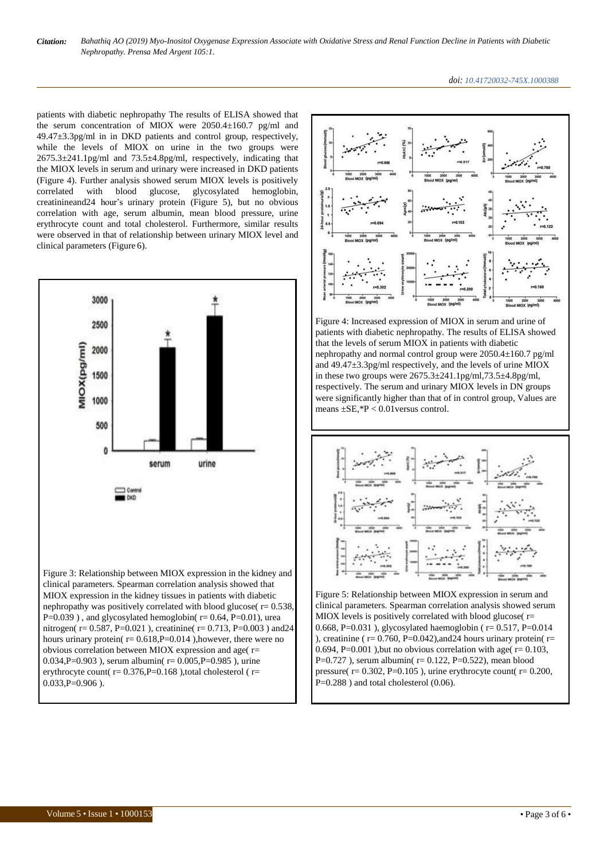

patients with diabetic nephropathy The results of ELISA showed that the serum concentration of MIOX were 2050.4±160.7 pg/ml and 49.47±3.3pg/ml in in DKD patients and control group, respectively, while the levels of MIOX on urine in the two groups were 2675.3±241.1pg/ml and 73.5±4.8pg/ml, respectively, indicating that the MIOX levels in serum and urinary were increased in DKD patients (Figure 4). Further analysis showed serum MIOX levels is positively correlated with blood glucose, glycosylated hemoglobin, creatinineand24 hour's urinary protein (Figure 5), but no obvious correlation with age, serum albumin, mean blood pressure, urine erythrocyte count and total cholesterol. Furthermore, similar results were observed in that of relationship between urinary MIOX level and clinical parameters (Figure 6).





Figure 4: Increased expression of MIOX in serum and urine of patients with diabetic nephropathy. The results of ELISA showed that the levels of serum MIOX in patients with diabetic nephropathy and normal control group were 2050.4±160.7 pg/ml and 49.47±3.3pg/ml respectively, and the levels of urine MIOX in these two groups were 2675.3±241.1pg/ml,73.5±4.8pg/ml, respectively. The serum and urinary MIOX levels in DN groups were significantly higher than that of in control group, Values are means  $\pm$ SE,  ${}^*P$  < 0.01 versus control.



Figure 5: Relationship between MIOX expression in serum and clinical parameters. Spearman correlation analysis showed serum MIOX levels is positively correlated with blood glucose( $r=$ 0.668, P=0.031 ), glycosylated haemoglobin ( $r = 0.517$ , P=0.014 ), creatinine ( $r = 0.760$ ,  $P = 0.042$ ), and 24 hours urinary protein( $r =$ 0.694, P=0.001 ), but no obvious correlation with age( $r = 0.103$ , P=0.727 ), serum albumin( $r= 0.122$ , P=0.522), mean blood pressure( $r = 0.302$ ,  $P = 0.105$ ), urine erythrocyte count( $r = 0.200$ , P=0.288 ) and total cholesterol (0.06).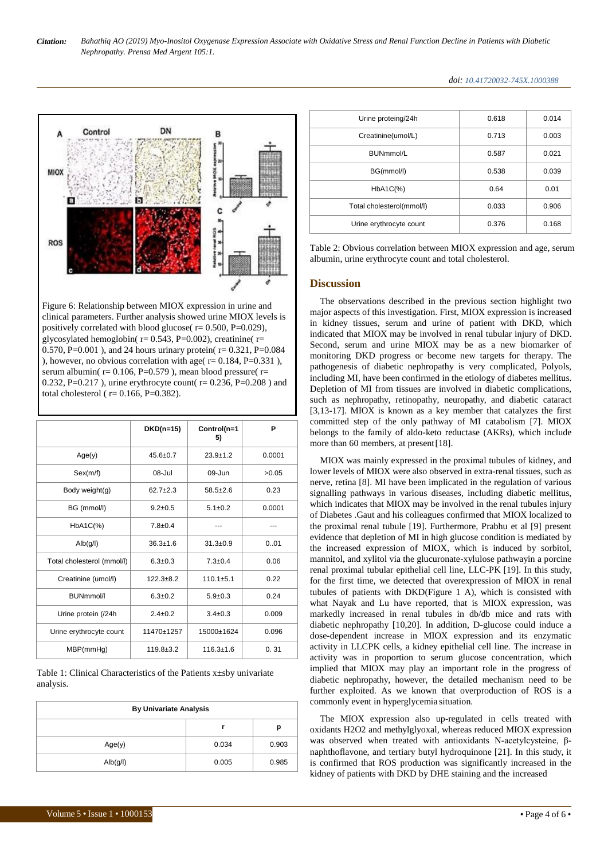

Figure 6: Relationship between MIOX expression in urine and clinical parameters. Further analysis showed urine MIOX levels is positively correlated with blood glucose( $r= 0.500$ ,  $P=0.029$ ), glycosylated hemoglobin( $r= 0.543$ , P=0.002), creatinine( $r=$ 0.570, P=0.001), and 24 hours urinary protein( $r = 0.321$ , P=0.084 ), however, no obvious correlation with age( $r = 0.184$ ,  $P = 0.331$ ), serum albumin( $r= 0.106$ ,  $P=0.579$ ), mean blood pressure( $r=$ 0.232, P=0.217 ), urine erythrocyte count( $r = 0.236$ , P=0.208) and total cholesterol ( $r= 0.166$ ,  $P=0.382$ ).

|                            | $DKD(n=15)$     | Control(n=1<br>5) | P      |
|----------------------------|-----------------|-------------------|--------|
| Age(y)                     | $45.6 \pm 0.7$  | $23.9 + 1.2$      | 0.0001 |
| Sex(m/f)                   | $08 -$ Jul      | $09 - Jun$        | >0.05  |
| Body weight(g)             | $62.7 + 2.3$    | $58.5 + 2.6$      | 0.23   |
| BG (mmol/l)                | $9.2 + 0.5$     | $5.1 \pm 0.2$     | 0.0001 |
| $HbA1C(\%)$                | $7.8 \pm 0.4$   |                   |        |
| Alb(g/l)                   | $36.3 \pm 1.6$  | $31.3 \pm 0.9$    | 0.01   |
| Total cholesterol (mmol/l) | $6.3 \pm 0.3$   | $7.3 \pm 0.4$     | 0.06   |
| Creatinine (umol/l)        | $122.3 + 8.2$   | $110.1 + 5.1$     | 0.22   |
| <b>BUNmmol/I</b>           | $6.3 \pm 0.2$   | $5.9 \pm 0.3$     | 0.24   |
| Urine protein (/24h        | $2.4 \pm 0.2$   | $3.4 \pm 0.3$     | 0.009  |
| Urine erythrocyte count    | 11470±1257      | 15000±1624        | 0.096  |
| MBP(mmHg)                  | $119.8 \pm 3.2$ | $116.3 \pm 1.6$   | 0.31   |

Table 1: Clinical Characteristics of the Patients x±sby univariate analysis.

| <b>By Univariate Analysis</b> |       |       |  |  |
|-------------------------------|-------|-------|--|--|
|                               |       | р     |  |  |
| Age(y)                        | 0.034 | 0.903 |  |  |
| Alb(g/l)                      | 0.005 | 0.985 |  |  |

| Urine proteing/24h        | 0.618 | 0.014 |
|---------------------------|-------|-------|
| Creatinine(umol/L)        | 0.713 | 0.003 |
| BUNmmol/L                 | 0.587 | 0.021 |
| BG(mmol/l)                | 0.538 | 0.039 |
| $HbA1C(\%)$               | 0.64  | 0.01  |
| Total cholesterol(mmol/l) | 0.033 | 0.906 |
| Urine erythrocyte count   | 0.376 | 0.168 |

Table 2: Obvious correlation between MIOX expression and age, serum albumin, urine erythrocyte count and total cholesterol.

#### **Discussion**

The observations described in the previous section highlight two major aspects of this investigation. First, MIOX expression is increased in kidney tissues, serum and urine of patient with DKD, which indicated that MIOX may be involved in renal tubular injury of DKD. Second, serum and urine MIOX may be as a new biomarker of monitoring DKD progress or become new targets for therapy. The pathogenesis of diabetic nephropathy is very complicated, Polyols, including MI, have been confirmed in the etiology of diabetes mellitus. Depletion of MI from tissues are involved in diabetic complications, such as nephropathy, retinopathy, neuropathy, and diabetic cataract [3,13-17]. MIOX is known as a key member that catalyzes the first committed step of the only pathway of MI catabolism [7]. MIOX belongs to the family of aldo-keto reductase (AKRs), which include more than 60 members, at present [18].

MIOX was mainly expressed in the proximal tubules of kidney, and lower levels of MIOX were also observed in extra-renal tissues, such as nerve, retina [8]. MI have been implicated in the regulation of various signalling pathways in various diseases, including diabetic mellitus, which indicates that MIOX may be involved in the renal tubules injury of Diabetes .Gaut and his colleagues confirmed that MIOX localized to the proximal renal tubule [19]. Furthermore, Prabhu et al [9] present evidence that depletion of MI in high glucose condition is mediated by the increased expression of MIOX, which is induced by sorbitol, mannitol, and xylitol via the glucuronate-xylulose pathwayin a porcine renal proximal tubular epithelial cell line, LLC-PK [19]. In this study, for the first time, we detected that overexpression of MIOX in renal tubules of patients with DKD(Figure 1 A), which is consisted with what Nayak and Lu have reported, that is MIOX expression, was markedly increased in renal tubules in db/db mice and rats with diabetic nephropathy [10,20]. In addition, D-glucose could induce a dose-dependent increase in MIOX expression and its enzymatic activity in LLCPK cells, a kidney epithelial cell line. The increase in activity was in proportion to serum glucose concentration, which implied that MIOX may play an important role in the progress of diabetic nephropathy, however, the detailed mechanism need to be further exploited. As we known that overproduction of ROS is a commonly event in hyperglycemia situation.

The MIOX expression also up-regulated in cells treated with oxidants H2O2 and methylglyoxal, whereas reduced MIOX expression was observed when treated with antioxidants N-acetylcysteine, βnaphthoflavone, and tertiary butyl hydroquinone [21]. In this study, it is confirmed that ROS production was significantly increased in the kidney of patients with DKD by DHE staining and the increased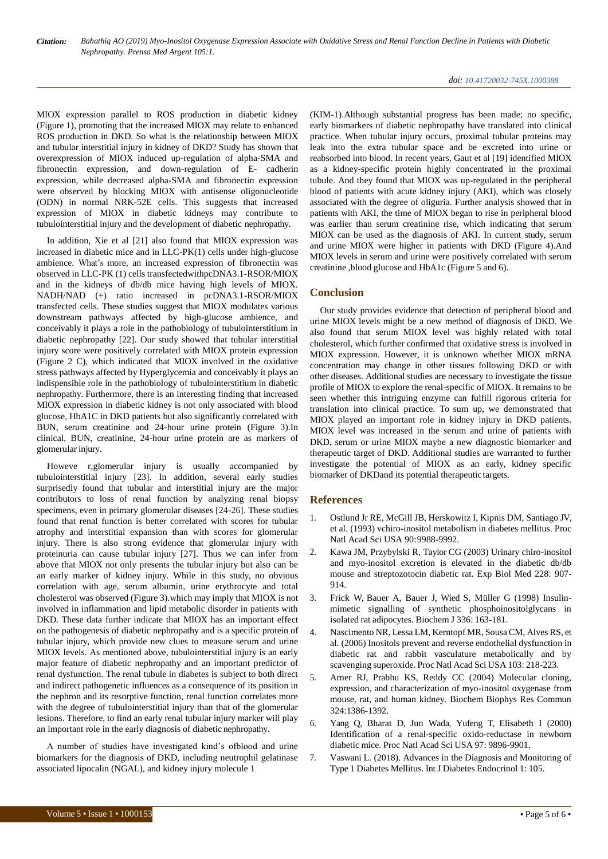MIOX expression parallel to ROS production in diabetic kidney (Figure 1), promoting that the increased MIOX may relate to enhanced ROS production in DKD. So what is the relationship between MIOX and tubular interstitial injury in kidney of DKD? Study has shown that overexpression of MIOX induced up-regulation of alpha-SMA and fibronectin expression, and down-regulation of E- cadherin expression, while decreased alpha-SMA and fibronectin expression were observed by blocking MIOX with antisense oligonucleotide (ODN) in normal NRK-52E cells. This suggests that increased expression of MIOX in diabetic kidneys may contribute to tubulointerstitial injury and the development of diabetic nephropathy.

In addition, Xie et al [21] also found that MIOX expression was increased in diabetic mice and in LLC-PK(1) cells under high-glucose ambience. What's more, an increased expression of fibronectin was observed in LLC-PK (1) cells transfectedwithpcDNA3.1-RSOR/MIOX and in the kidneys of db/db mice having high levels of MIOX. NADH/NAD (+) ratio increased in pcDNA3.1-RSOR/MIOX transfected cells. These studies suggest that MIOX modulates various downstream pathways affected by high-glucose ambience, and conceivably it plays a role in the pathobiology of tubulointerstitium in diabetic nephropathy [22]. Our study showed that tubular interstitial injury score were positively correlated with MIOX protein expression (Figure 2 C), which indicated that MIOX involved in the oxidative stress pathways affected by Hyperglycemia and conceivably it plays an indispensible role in the pathobiology of tubulointerstitium in diabetic nephropathy. Furthermore, there is an interesting finding that increased MIOX expression in diabetic kidney is not only associated with blood glucose, HbA1C in DKD patients but also significantly correlated with BUN, serum creatinine and 24-hour urine protein (Figure 3).In clinical, BUN, creatinine, 24-hour urine protein are as markers of glomerular injury.

Howeve r,glomerular injury is usually accompanied by tubulointerstitial injury [23]. In addition, several early studies surprisedly found that tubular and interstitial injury are the major contributors to loss of renal function by analyzing renal biopsy specimens, even in primary glomerular diseases [24-26]. These studies found that renal function is better correlated with scores for tubular atrophy and interstitial expansion than with scores for glomerular injury. There is also strong evidence that glomerular injury with proteinuria can cause tubular injury [27]. Thus we can infer from above that MIOX not only presents the tubular injury but also can be an early marker of kidney injury. While in this study, no obvious correlation with age, serum albumin, urine erythrocyte and total cholesterol was observed (Figure 3).which may imply that MIOX is not involved in inflammation and lipid metabolic disorder in patients with DKD. These data further indicate that MIOX has an important effect on the pathogenesis of diabetic nephropathy and is a specific protein of tubular injury, which provide new clues to measure serum and urine MIOX levels. As mentioned above, tubulointerstitial injury is an early major feature of diabetic nephropathy and an important predictor of renal dysfunction. The renal tubule in diabetes is subject to both direct and indirect pathogenetic influences as a consequence of its position in the nephron and its resorptive function, renal function correlates more with the degree of tubulointerstitial injury than that of the glomerular lesions. Therefore, to find an early renal tubular injury marker will play an important role in the early diagnosis of diabetic nephropathy.

A number of studies have investigated kind's ofblood and urine biomarkers for the diagnosis of DKD, including neutrophil gelatinase associated lipocalin (NGAL), and kidney injury molecule 1

(KIM-1).Although substantial progress has been made; no specific, early biomarkers of diabetic nephropathy have translated into clinical practice. When tubular injury occurs, proximal tubular proteins may leak into the extra tubular space and be excreted into urine or reabsorbed into blood. In recent years, Gaut et al [19] identified MIOX as a kidney-specific protein highly concentrated in the proximal tubule. And they found that MIOX was up-regulated in the peripheral blood of patients with acute kidney injury (AKI), which was closely associated with the degree of oliguria. Further analysis showed that in patients with AKI, the time of MIOX began to rise in peripheral blood was earlier than serum creatinine rise, which indicating that serum MIOX can be used as the diagnosis of AKI. In current study, serum and urine MIOX were higher in patients with DKD (Figure 4).And MIOX levels in serum and urine were positively correlated with serum creatinine ,blood glucose and HbA1c (Figure 5 and 6).

## **Conclusion**

Our study provides evidence that detection of peripheral blood and urine MIOX levels might be a new method of diagnosis of DKD. We also found that serum MIOX level was highly related with total cholesterol, which further confirmed that oxidative stress is involved in MIOX expression. However, it is unknown whether MIOX mRNA concentration may change in other tissues following DKD or with other diseases. Additional studies are necessary to investigate the tissue profile of MIOX to explore the renal-specific of MIOX. It remains to be seen whether this intriguing enzyme can fulfill rigorous criteria for translation into clinical practice. To sum up, we demonstrated that MIOX played an important role in kidney injury in DKD patients. MIOX level was increased in the serum and urine of patients with DKD, serum or urine MIOX maybe a new diagnostic biomarker and therapeutic target of DKD. Additional studies are warranted to further investigate the potential of MIOX as an early, kidney specific biomarker of DKDand its potential therapeutic targets.

### **References**

- 1. Ostlund Jr RE, McGill JB, Herskowitz I, Kipnis DM, Santiago JV, et al. (1993) vchiro-inositol metabolism in diabetes mellitus. Proc Natl Acad Sci USA 90:9988-9992.
- 2. [Kawa JM, Przybylski R, Taylor CG \(2003\) Urinary chiro-inositol](https://journals.sagepub.com/doi/abs/10.1177/153537020322800806?journalCode=ebmb) [and myo-inositol excretion is elevated in the diabetic db/db](https://journals.sagepub.com/doi/abs/10.1177/153537020322800806?journalCode=ebmb) [mouse and streptozotocin diabetic rat. Exp Biol Med 228:](https://journals.sagepub.com/doi/abs/10.1177/153537020322800806?journalCode=ebmb) [907-](https://journals.sagepub.com/doi/abs/10.1177/153537020322800806?journalCode=ebmb) [914.](https://journals.sagepub.com/doi/abs/10.1177/153537020322800806?journalCode=ebmb)
- 3. [Frick W, Bauer A, Bauer J, Wied S, Müller G \(1998\) Insulin](http://www.biochemj.org/content/336/1/163)[mimetic signalling of synthetic phosphoinositolglycans in](http://www.biochemj.org/content/336/1/163) isolated rat [adipocytes.](http://www.biochemj.org/content/336/1/163) Biochem J 336: 163-181.
- 4. [Nascimento](https://www.pnas.org/content/103/1/218.long) NR, Lessa LM, Kerntopf MR, Sousa CM, Alves RS, e[t](https://www.pnas.org/content/103/1/218.long) al. (2006) Inositols prevent and reverse endothelial [dysfunction](https://www.pnas.org/content/103/1/218.long) i[n](https://www.pnas.org/content/103/1/218.long) [diabetic rat and rabbit vasculature metabolically and by](https://www.pnas.org/content/103/1/218.long) scavenging [superoxide.](https://www.pnas.org/content/103/1/218.long) Proc Natl Acad Sci USA 103: 218-223.
- 5. [Arner RJ, Prabhu KS, Reddy CC \(2004\) Molecular cloning,](https://www.sciencedirect.com/science/article/pii/S0006291X04022739?via%3Dihub) [expression, and characterization of myo-inositol oxygenase from](https://www.sciencedirect.com/science/article/pii/S0006291X04022739?via%3Dihub) [mouse, rat, and human kidney. Biochem Biophys Res Commun](https://www.sciencedirect.com/science/article/pii/S0006291X04022739?via%3Dihub) [324:1386-1392.](https://www.sciencedirect.com/science/article/pii/S0006291X04022739?via%3Dihub)
- 6. [Yang Q, Bharat D, Jun Wada, Yufeng T, Elisabeth I \(2000\)](https://www.pnas.org/content/97/18/9896) [Identification of a renal-specific oxido-reductase in newborn](https://www.pnas.org/content/97/18/9896) diabetic mice. Proc Natl Acad Sci USA 97: [9896-9901.](https://www.pnas.org/content/97/18/9896)
- 7. [Vaswani L. \(2018\). Advances in the Diagnosis and Monitoring of](https://www.pubtexto.com/journals/international-journal-of-endocrinology-and-diabetes/fulltext/advances-in-the-diagnosis-and-monitoring-of-type-1-diabetes-mellitus) Type 1 Diabetes Mellitus. Int J Diabetes [Endocrinol](https://www.pubtexto.com/journals/international-journal-of-endocrinology-and-diabetes/fulltext/advances-in-the-diagnosis-and-monitoring-of-type-1-diabetes-mellitus) 1: 105.